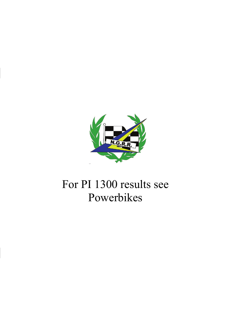

# For PI 1300 results see Powerbikes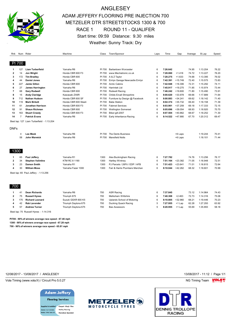

# ANGLESEY ADAM JEFFERY FLOORING PRE INJECTION 700 METZELER DTR STREETSTOCKS 1300 & 700 RACE 1 ROUND 11 - QUALIFER Start time: 09:59 Distance: 9.30 miles Weather: Sunny Track: Dry

| Rnk            |                | Num Rider                                 | Machine              | Class  | Town/Sponsor                    | Laps | Time     | Gap       | Average | B.Lap    | Speed |
|----------------|----------------|-------------------------------------------|----------------------|--------|---------------------------------|------|----------|-----------|---------|----------|-------|
|                | PI 700         |                                           |                      |        |                                 |      |          |           |         |          |       |
| -1             | 127            | <b>Liam Turberfield</b>                   | Yamaha R6            | PI 700 | <b>Barbertown Worcester</b>     | 6    | 7:26.642 |           | 74.95   | 1:13.204 | 76.22 |
| $\overline{2}$ | 14             | Jon Wright                                | Honda CBR 600 F3     | PI 700 | www.Mechatronic.co.uk           | 6    | 7:28.060 | $+1.418$  | 74.72   | 1:13.227 | 76.20 |
| 3              | 172            | <b>Tim Bradley</b>                        | Honda CBR 600        | PI 700 | A & Z Taylor                    | 6    | 7:28.275 | $+1.633$  | 74.68   | 1:13.395 | 76.02 |
| 4              | 44             | <b>Daniel Jones</b>                       | Yamaha R6            | PI 700 | Emlyn Garage Newcastle Emlyn    | 6    | 7:42.391 | $+15.749$ | 72.40   | 1:15.575 | 73.83 |
| 5              | 227            | Jamie Gillon                              | Honda CBR 600        | PI 700 | <b>Arctic Cabins</b>            | 6    | 7:42.948 | $+16.306$ | 72.31   | 1:15.292 | 74.11 |
| 6              | 27             | <b>James Harrington</b>                   | Yamaha R6            | PI 700 | <b>Harrintek Ltd</b>            | 6    | 7:45.917 | $+19.275$ | 71.85   | 1:15.974 | 73.44 |
| $\overline{7}$ | 68             | <b>Gary Rodwell</b>                       | Honda CBR 600        | PI 700 | Rodwell Racing                  | 6    | 7:46.242 | $+19.600$ | 71.80   | 1:15.490 | 73.91 |
| 8              | 15             | <b>Andy Claridge</b>                      | Kawasaki ZX6R        | PI 700 | <b>Childs Ercall Shropshire</b> | 6    | 8:00.620 | +33.978   | 69.66   | 1:17.889 | 71.64 |
| 9              | 712            | <b>Nathan Hudson</b>                      | Honda CBR 600 SF     | PI 700 | Furniture by Design @ Facebook  | 6    | 8:00.883 | $+34.241$ | 69.62   | 1:18.142 | 71.40 |
| 10             | 119            | <b>Mark Birkett</b>                       | Honda CBR 600 Steeli | PI 700 | <b>Babe Station</b>             | 6    | 8:02.374 | $+35.732$ | 69.40   | 1:18.158 | 71.39 |
| 11             | 61             | Jonathan Harrison                         | Honda CBR 600 F3     | PI 700 | <b>Fabmet Services</b>          | 6    | 8:03.901 | $+37.259$ | 69.18   | 1:17.333 | 72.15 |
| 12             | 91             | <b>Shaun Richman</b>                      | Honda CBR 600        | PI 700 | <b>Wellington Somerset</b>      | 6    | 8:05.696 | $+39.054$ | 68.93   | 1:18.920 | 70.70 |
| 13             | 163            | <b>Stuart Creedy</b>                      | Honda CBR 600 F3     | PI 700 | Biker-gill-2007                 | 6    | 8:07.504 | $+40.862$ | 68.67   | 1:18.252 | 71.30 |
| 14             | $\overline{7}$ | <b>Patrick Evans</b>                      | Yamaha R6            | PI 700 | Early Inheritance Racing        | 6    | 8:14.522 | +47.880   | 67.70   | 1:20.312 | 69.47 |
|                |                | Best lap: 127 Liam Turberfield - 1:13.204 |                      |        |                                 |      |          |           |         |          |       |
|                |                |                                           |                      |        |                                 |      |          |           |         |          |       |
| <b>DNFs</b>    |                |                                           |                      |        |                                 |      |          |           |         |          |       |
|                | 4              | <b>Lee Meek</b>                           | Yamaha R6            |        | PI 700 The Dents Business       |      |          | +6 Laps   |         | 1:19.244 | 70.41 |
|                | 58             | John Warwick                              | Yamaha R6            | PI 700 | <b>Mansfield Notts</b>          |      |          | +6 Laps   |         | 1:18.101 | 71.44 |
|                |                |                                           |                      |        |                                 |      |          |           |         |          |       |
| 1300           |                |                                           |                      |        |                                 |      |          |           |         |          |       |
| 1              | 65             | Paul Jeffery                              | Yamaha R1            | 1300   | Alex Buckingham Racing          | 6    | 7:27.782 |           | 74.76   | 1:13.256 | 76.17 |
| 2              | 34             | <b>Stephen Valintine</b>                  | <b>KTM RC 8 1190</b> | 1300   | Hartley Wintney                 | 6    | 7:51.164 | $+23.382$ | 71.05   | 1:16.948 | 72.51 |
| 3              | 23             | <b>Damon Smith</b>                        | Yamaha R1            | 1300   | PJ Parcels / 26Fit / EDP / AFB  | 6    | 7:51.423 | $+23.641$ | 71.01   | 1:16.815 | 72.64 |
| 4              | 30             | <b>William Moss</b>                       | Yamaha Fazer 1000    | 1300   | Farr & Harris Plumbers Merchan  | 6    | 8:10.044 | $+42.262$ | 68.32   | 1:18.601 | 70.99 |
|                |                | Best lap: 65 Paul Jeffery - 1:13.256      |                      |        |                                 |      |          |           |         |          |       |
|                |                |                                           |                      |        |                                 |      |          |           |         |          |       |
| 700            |                |                                           |                      |        |                                 |      |          |           |         |          |       |
| -1             | 41             | <b>Dean Richards</b>                      | Yamaha R6            | 700    | <b>ASR Racing</b>               | 6    | 7:37.845 |           | 73.12   | 1:14.964 | 74.43 |
| 2              | 75             | <b>Russell Hynes</b>                      | Triumph 675          | 700    | Melksham Wiltshire              | 6    | 7:40.308 | $+2.463$  | 72.73   | 1:14.316 | 75.08 |
| 3              | 175            | <b>Richard Leonard</b>                    | Suzuki GSXR 600 K5   | 700    | Uplands School of Motoring      | 6    | 8:10.805 | $+32.960$ | 68.21   | 1:19.446 | 70.23 |
| 4              | 42             | Rab Lavender                              | Triumph Daytona 675  | 700    | Ducking Quack Racing            | 5    | 7:27.955 | $+1$ Lap  | 62.28   | 1:27.293 | 63.92 |
| 5              | 57             | <b>Andrew Turner</b>                      | Triumph Daytona 675  | 700    | <b>Bas Assessors</b>            | 5    | 8:20.955 | +1 Lap    | 55.69   | 1:35.893 | 58.18 |

Best lap: 75 Russell Hynes - 1:14.316

**PI700 - 90% of winners average race speed - 67.46 mph 1300 - 90% of winners average race speed - 67.28 mph 700 - 90% of winners average race speed - 65.81 mph**

12/08/2017 - 13/08/2017 / ANGLESEY 13/08/2017 - 11:12 / Page 1/1

Vola Timing (www.vola.fr) / Circuit Pro 5.0.27 **NG Timing Team Monet Constructs** NG Timing Team Monet Constructs

## **Adam Jeffery**

**Flooring Services** upplied & installed . Carpet . Vinyl . Tiles · Safety flooring 01271 855860 .<br>ile: 07967 560 272 · Karndean Specialist



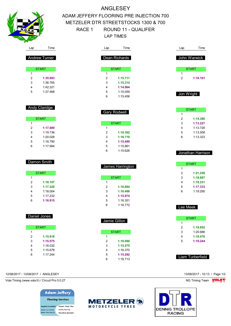

# ANGLESEY ADAM JEFFERY FLOORING PRE INJECTION 700 METZELER DTR STREETSTOCKS 1300 & 700 RACE 1 ROUND 11 - QUALIFER LAP TIMES

| Lap            | Time                | Lap            | Time            |
|----------------|---------------------|----------------|-----------------|
|                | Dean Richards       | John Warwick   |                 |
|                | <b>START</b>        | <b>START</b>   |                 |
| 1              |                     | 1              |                 |
| $\overline{2}$ | 1:15.711            | $\overline{2}$ | 1:18.101        |
| 3              | 1:15.314            |                |                 |
| $\overline{4}$ | 1:14.964            |                |                 |
| 5              | 1:15.059            |                |                 |
| 6              | 1:15.456            | Jon Wright     |                 |
|                |                     |                |                 |
|                |                     | <b>START</b>   |                 |
|                | <b>Gary Rodwell</b> | 1              |                 |
|                |                     | $\overline{2}$ | 1:14.380        |
|                | <b>START</b>        | 3              | 1:13.227        |
| 1              |                     | 4              | 1:13.726        |
| $\overline{2}$ | 1:18.362            | 5              | 1:13.508        |
| 3              | 1:16.719            | 6              | 1:13.323        |
| 4              | 1:15.490            |                |                 |
| 5              | 1:15.861            |                |                 |
| 6              | 1:15.626            |                | Jonathan Harris |

| James Harrington |              |  |  |  |
|------------------|--------------|--|--|--|
|                  | <b>START</b> |  |  |  |
| 1                |              |  |  |  |
| 2                | 1:16.684     |  |  |  |
| 3                | 1:16.496     |  |  |  |
| 4                | 1:15.974     |  |  |  |
| 5                | 1:16.351     |  |  |  |
| 6                | 1:16.772     |  |  |  |

Jamie Gillon

 $\overline{1}$ 

**START** 

 **1:18.090 1:15.575** 1:16.370 **1:15.292** 1:16.713

| Lee M<br>$\overline{\phantom{a}}$ |
|-----------------------------------|
|                                   |
| <b>ST</b>                         |
| 1                                 |
| $\boldsymbol{2}$                  |
| 3                                 |
|                                   |
| $\frac{4}{5}$                     |
|                                   |

# **1:18.101** Jon Wright

| 31 AN 1 |          |  |
|---------|----------|--|
| 1       |          |  |
| 2       | 1:14.380 |  |
| 3       | 1:13.227 |  |
| 4       | 1:13.726 |  |
| 5       | 1:13.508 |  |
| հ       | 1.13.323 |  |
|         |          |  |

#### arrison

| <b>START</b> |          |  |  |  |
|--------------|----------|--|--|--|
| 1            |          |  |  |  |
| 2            | 1:21.256 |  |  |  |
| 3            | 1:19.897 |  |  |  |
| 4            | 1:18.231 |  |  |  |
| 5            | 1:17.333 |  |  |  |
| հ            | 1.19290  |  |  |  |

#### eek

| START |          |  |  |  |
|-------|----------|--|--|--|
| 1     |          |  |  |  |
| 2     | 1:19.852 |  |  |  |
| 3     | 1:20.686 |  |  |  |
| 4     | 1:19.476 |  |  |  |
| г,    | 1:19.244 |  |  |  |

#### Liam Turberfield



| <b>Andy Claridge</b> |
|----------------------|

Andrew Turner

**START** 

 **1:35.893** 1:36.765 1:42.321 1:37.468

| <b>START</b> |          |  |  |  |
|--------------|----------|--|--|--|
| 1            |          |  |  |  |
| 2            | 1:17.889 |  |  |  |
| 3            | 1:19.736 |  |  |  |
| 4            | 1.20 028 |  |  |  |
| 5            | 1:18.790 |  |  |  |
| հ            | 1.17994  |  |  |  |

#### Damon Smith

| <b>START</b> |          |  |  |  |  |
|--------------|----------|--|--|--|--|
| 1            |          |  |  |  |  |
| 2            | 1:18.107 |  |  |  |  |
| 3            | 1:17.220 |  |  |  |  |
| 4            | 1.18004  |  |  |  |  |
| 5            | 1:17.232 |  |  |  |  |
| 6            | 1:16.815 |  |  |  |  |

#### Daniel Jones

| <b>START</b> |          |  |  |  |  |
|--------------|----------|--|--|--|--|
| 1            |          |  |  |  |  |
| 2            | 1:15.918 |  |  |  |  |
| 3            | 1:15.575 |  |  |  |  |
| 4            | 1:16.032 |  |  |  |  |
| 5            | 1:15.678 |  |  |  |  |
| հ            | 1.17244  |  |  |  |  |

12/08/2017 - 13/08/2017 / ANGLESEY 13/08/2017 - 10:13 / Page 1/2

Vola Timing (www.vola.fr) / Circuit Pro 5.0.27 NG Timing Team NG Timing Team NG Timing Team NG Timing Team NG



· Safety flooring 01271 855860 .<br>ile: 07967 560 272 · Karndean Specialist

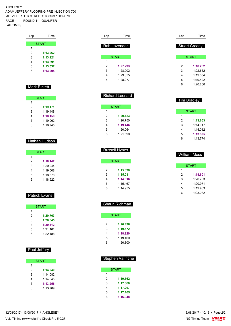ANGLESEY ADAM JEFFERY FLOORING PRE INJECTION 700 METZELER DTR STREETSTOCKS 1300 & 700 RACE 1 ROUND 11 - QUALIFER LAP TIMES

| Lap | Time         |
|-----|--------------|
|     |              |
|     | <b>START</b> |
| 1   |              |
| 2   | 1:13.962     |
| 3   | 1:13.921     |
| 4   | 1:13.691     |
| 5   | 1:13.537     |
| 6   | 1:13.204     |
|     |              |

#### Mark Birkett

| <b>START</b> |          |  |  |  |  |  |  |  |  |
|--------------|----------|--|--|--|--|--|--|--|--|
| 1            |          |  |  |  |  |  |  |  |  |
| 2            | 1:19.171 |  |  |  |  |  |  |  |  |
| 3            | 1.19448  |  |  |  |  |  |  |  |  |
| 4            | 1:18.158 |  |  |  |  |  |  |  |  |
| 5            | 1:19.062 |  |  |  |  |  |  |  |  |
| հ            | 1:18.745 |  |  |  |  |  |  |  |  |

#### Nathan Hudson

| <b>START</b> |          |  |  |  |  |  |  |  |  |
|--------------|----------|--|--|--|--|--|--|--|--|
| 1            |          |  |  |  |  |  |  |  |  |
| 2            | 1:18.142 |  |  |  |  |  |  |  |  |
| 3            | 1.20 244 |  |  |  |  |  |  |  |  |
| 4            | 1:19.508 |  |  |  |  |  |  |  |  |
| 5            | 1:18 678 |  |  |  |  |  |  |  |  |
| հ            | 1:18.922 |  |  |  |  |  |  |  |  |

#### Patrick Evans

|   | <b>START</b> |
|---|--------------|
| 1 |              |
| 2 | 1:20.763     |
| 3 | 1:20.645     |
| 4 | 1:20.312     |
| 5 | $1.21$ 161   |
| հ | $1.22$ 188   |

#### Paul Jeffery

| <b>START</b> |          |  |  |  |  |  |  |  |
|--------------|----------|--|--|--|--|--|--|--|
| 1            |          |  |  |  |  |  |  |  |
| 2            | 1:14.040 |  |  |  |  |  |  |  |
| 3            | 1:14 082 |  |  |  |  |  |  |  |
| 4            | 1:14 045 |  |  |  |  |  |  |  |
| 5            | 1:13.256 |  |  |  |  |  |  |  |
| հ            | 1.13789  |  |  |  |  |  |  |  |

| Lap | Time         |  |
|-----|--------------|--|
|     | Rab Lavender |  |
|     | <b>START</b> |  |
| 1   |              |  |
| 2   | 1:27.293     |  |
| 3   | 1.28902      |  |
| 4   | 1.29.355     |  |
| 5   | 1:28.277     |  |
|     |              |  |

Richard Leonard

START **START** 

 **1:20.123** 1:20.750 **1:19.446** 1:20.064 1:21.590

| Lap | Time                 |
|-----|----------------------|
|     | <b>Stuart Creedy</b> |
|     | <b>START</b>         |
| 1   |                      |
| 2   | 1:18.252             |
| 3   | 1:22662              |
| 4   | 1:19.354             |
| 5   | 1 19 422             |
| հ   | 1:20.260             |
|     |                      |

#### Tim Bradley

|   | <b>START</b> |
|---|--------------|
| 1 |              |
| 2 | 1:13.663     |
| 3 | 1.14017      |
| 4 | 1.14012      |
| 5 | 1:13.395     |
|   | 1:13.774     |

|   | <b>Russell Hynes</b> |
|---|----------------------|
|   | START                |
| 1 |                      |
| 2 | 1:15.898             |
| 3 | 1:15.031             |
| 4 | 1:14.316             |
| 5 | 1:15.467             |

|   | William Moss |
|---|--------------|
|   | START        |
|   |              |
| 2 | 1:18.601     |
| 3 | 1.20 763     |
| 4 | 1:20.971     |
| 5 | 1:19.963     |

1:23.082

#### Shaun Richman

1:14.955

|   | <b>START</b> |
|---|--------------|
| 1 |              |
| 2 | 1:20.426     |
| 3 | 1:19.572     |
| 4 | 1:18.920     |
| 5 | 1:19.460     |
| հ | 1:20.300     |
|   |              |

#### Stephen Valintine

|     | <b>START</b> |
|-----|--------------|
| 1   |              |
| 2   | 1:19.562     |
| 3   | 1:17.360     |
| 4   | 1:17.267     |
| 5   | 1:17.165     |
| ี่ค | 1:16.948     |

12/08/2017 - 13/08/2017 / ANGLESEY

Vola Timing (www.vola.fr) / Circuit Pro 5.0.27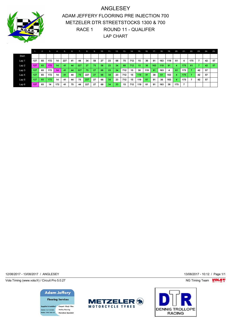

ANGLESEY ADAM JEFFERY FLOORING PRE INJECTION 700 METZELER DTR STREETSTOCKS 1300 & 700 RACE 1 ROUND 11 - QUALIFER LAP CHART

|                  |     | 2. | 3.  | $-4.1$ | 5.  | 6. |     | 8.  | 9. | 10. | 11 | 12. | <b>T13.</b> | 14. | 15. | 16. | 17. | 18. | $-19.$ | 20.            | 21. | 22. | $-23.$ | 24. | 25. |
|------------------|-----|----|-----|--------|-----|----|-----|-----|----|-----|----|-----|-------------|-----|-----|-----|-----|-----|--------|----------------|-----|-----|--------|-----|-----|
| Start            |     |    |     |        |     |    |     |     |    |     |    |     |             |     |     |     |     |     |        |                |     |     |        |     |     |
| Lap <sub>1</sub> | 127 | 65 | 172 | 14     | 227 | 41 | 44  | 34  | 58 | 27  | 23 | 68  | 75          | 712 | 15  | 30  | 91  | 163 | 119    | 61             | 4   | 175 |        | 42  | 57  |
| Lap2             | 127 | 65 | 172 | 14     | 41  | 44 | 227 | 27  | 75 | 58  | 23 | 34  | 68          | 712 | 15  | 30  | 163 | 119 | 91     | $\overline{4}$ | 175 | -61 |        | 42  | 57  |
| Lap <sub>3</sub> | 127 | 65 | 172 | 14     | 41  | 44 | 227 | 75  | 27 | 68  | 23 | 34  | 712         | 15  | 30  | 119 | 91  | 163 |        | 61             | 175 |     | 42     | 57  |     |
| Lap 4            | 127 | 65 | 172 | 14     | 41  | 44 | 75  | 227 | 27 | 68  | 34 | 23  | 712         | 15  | 119 | 91  | 30  | 61  | 163    | 4              | 175 |     | 42     | 57  |     |
| Lap <sub>5</sub> | 127 | 65 | 172 | 14     | 41  | 44 | 75  | 227 | 27 | 68  | 34 | 23  | 712         | 15  | 119 | 61  | 91  | 30  | 163    | 4              | 175 |     | 42     | 57  |     |
| Lap6             | 127 | 65 | 14  | 172    | 41  | 75 | 44  | 227 | 27 | 68  | 34 | 23  | 15          | 712 | 119 | 61  | 91  | 163 | 30     | 175            |     |     |        |     |     |

12/08/2017 - 13/08/2017 / ANGLESEY 13/08/2017 - 10:12 / Page 1/1

Vola Timing (www.vola.fr) / Circuit Pro 5.0.27 **NG Timing Team MOLA View Area** NG Timing Team MOLA View Area NG Timing Team MOLA View Area NG Timing Team MOLA View Area NG Timing Team MOLA View Area NG Timing Team MOLA Vie

**Adam Jeffery Flooring Services** 

upplied & installed . Carpet . Vinyl . Tiles · Safety flooring 01271 855860 .<br>Ie: 07967 560 272 -<br>Karndean Snecialist



**DENNIS TROLLOPE RACING**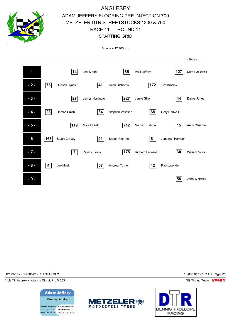

8 Laps = 12.400 Km



12/08/2017 - 13/08/2017 / ANGLESEY 13/08/2017 - 10:14 / Page 1/1

Vola Timing (www.vola.fr) / Circuit Pro 5.0.27 NG Timing Team NG Timing Team NG Timing Team NG Timing Team NG



· Safety flooring 01271 855860 .<br>Ie: 07967 560 272 - Karndean Special



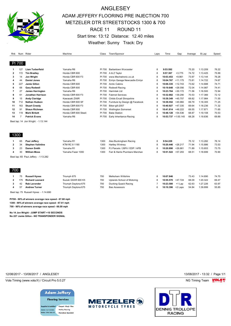

# ANGLESEY ADAM JEFFERY FLOORING PRE INJECTION 700 METZELER DTR STREETSTOCKS 1300 & 700 RACE 11 ROUND 11 Start time: 13:12 Distance: 12.40 miles Weather: Sunny Track: Dry

| Rnk            |                | Num Rider                            | Machine              | Class  | Town/Sponsor                    | Laps           | Time                   | Gap       | Average | B.Lap    | Speed |
|----------------|----------------|--------------------------------------|----------------------|--------|---------------------------------|----------------|------------------------|-----------|---------|----------|-------|
|                |                |                                      |                      |        |                                 |                |                        |           |         |          |       |
| PI 700         |                |                                      |                      |        |                                 |                |                        |           |         |          |       |
| 1              | 127            | <b>Liam Turberfield</b>              | Yamaha R6            | PI 700 | Barbertown Worcester            | 8              | 9:53.592               |           | 75.20   | 1:13.209 | 76.22 |
| $\overline{2}$ | 172            | <b>Tim Bradley</b>                   | Honda CBR 600        | PI 700 | A & Z Taylor                    | 8              | 9:57.367               | $+3.775$  | 74.72   | 1:13.425 | 75.99 |
| 3              | 14             | Jon Wright                           | Honda CBR 600 F3     | PI 700 | www.Mechatronic.co.uk           | 8              | 10:03.453              | $+9.861$  | 73.97   | 1:13.144 | 76.28 |
| 4              | 44             | <b>Daniel Jones</b>                  | Yamaha R6            | PI 700 | Emlyn Garage Newcastle Emlyn    | 8              | 10:04.767              | $+11.175$ | 73.81   | 1:14.722 | 74.67 |
| 5              | 227            | Jamie Gillon                         | Honda CBR 600        | PI 700 | <b>Arctic Cabins</b>            | 8              | 10:06.335              | $+12.743$ | 73.62   | 1:14.688 | 74.71 |
| 6              | 68             | <b>Gary Rodwell</b>                  | Honda CBR 600        | PI 700 | Rodwell Racing                  | 8              | 10:19.648              | $+26.056$ | 72.04   | 1:14.987 | 74.41 |
| 7              | 27             | <b>James Harrington</b>              | Yamaha R6            | PI 700 | <b>Harrintek Ltd</b>            | 8              | 10:23.764              | $+30.172$ | 71.56   | 1:16.500 | 72.94 |
| 8              | 61             | Jonathan Harrison                    | Honda CBR 600 F3     | PI 700 | <b>Fabmet Services</b>          | 8              | 10:32.882              | $+39.290$ | 70.53   | 1:17.366 | 72.12 |
| 9              | 15             | <b>Andy Claridge</b>                 | Kawasaki ZX6R        | PI 700 | <b>Childs Ercall Shropshire</b> | 8              | 10:39.349              | $+45.757$ | 69.82   | 1:17.984 | 71.55 |
| 10             | 712            | <b>Nathan Hudson</b>                 | Honda CBR 600 SF     | PI 700 | Furniture by Design @ Facebook  | 8              | 10:39.552              | +45.960   | 69.79   | 1:18.305 | 71.25 |
| 11             | 163            | <b>Stuart Creedy</b>                 | Honda CBR 600 F3     | PI 700 | Biker-gill-2007                 | 8              | 10:40.927              | $+47.335$ | 69.64   | 1:18.236 | 71.32 |
| 12             | 91             | <b>Shaun Richman</b>                 | Honda CBR 600        | PI 700 | <b>Wellington Somerset</b>      | 8              | 10:41.814              | $+48.222$ | 69.55   | 1:17.871 | 71.65 |
| 13             | 119            | <b>Mark Birkett</b>                  | Honda CBR 600 Steeli | PI 700 | <b>Babe Station</b>             | 8              | $10:48.128 + 54.536$   |           | 68.87   | 1:19.108 | 70.53 |
| 14             | $\overline{7}$ | <b>Patrick Evans</b>                 | Yamaha R6            | PI 700 | Early Inheritance Racing        | 8              | $10:53.737 + 1:00.145$ |           | 68.28   | 1:19.836 | 69.89 |
|                |                | Best lap: 14 Jon Wright - 1:13.144   |                      |        |                                 |                |                        |           |         |          |       |
|                |                |                                      |                      |        |                                 |                |                        |           |         |          |       |
|                |                |                                      |                      |        |                                 |                |                        |           |         |          |       |
|                |                |                                      |                      |        |                                 |                |                        |           |         |          |       |
| 1300           |                |                                      |                      |        |                                 |                |                        |           |         |          |       |
| 1              | 65             | Paul Jeffery                         | Yamaha R1            | 1300   | Alex Buckingham Racing          | 8              | 9:54.229               |           | 75.12   | 1:13.282 | 76.14 |
| $\overline{2}$ | 34             | <b>Stephen Valintine</b>             | KTM RC 8 1190        | 1300   | Hartley Wintney                 | 8              | 10:20.446              | $+26.217$ | 71.94   | 1:15.886 | 73.53 |
| 3              | 23             | <b>Damon Smith</b>                   | Yamaha R1            | 1300   | PJ Parcels / 26Fit / EDP / AFB  | 8              | 10:20.890              | $+26.661$ | 71.89   | 1:15.653 | 73.75 |
| 4              | 30             | <b>William Moss</b>                  | Yamaha Fazer 1000    | 1300   | Farr & Harris Plumbers Merchan  | 8              | $10:51.522 + 57.293$   |           | 68.51   | 1:18.699 | 70.90 |
|                |                | Best lap: 65 Paul Jeffery - 1:13.282 |                      |        |                                 |                |                        |           |         |          |       |
|                |                |                                      |                      |        |                                 |                |                        |           |         |          |       |
|                |                |                                      |                      |        |                                 |                |                        |           |         |          |       |
|                |                |                                      |                      |        |                                 |                |                        |           |         |          |       |
| 700            |                |                                      |                      |        |                                 |                |                        |           |         |          |       |
| 1              | 75             | <b>Russell Hynes</b>                 | Triumph 675          | 700    | Melksham Wiltshire              | 8              | 10:07.846              |           | 73.43   | 1:14.690 | 74.70 |
| 2              | 175            | <b>Richard Leonard</b>               | Suzuki GSXR 600 K5   | 700    | Uplands School of Motoring      | 8              | 10:55.570              | +47.724   | 68.09   | 1:20.322 | 69.47 |
| 3              |                |                                      |                      |        |                                 |                |                        |           |         |          |       |
|                | 42             | <b>Rab Lavender</b>                  | Triumph Daytona 675  | 700    | <b>Ducking Quack Racing</b>     | $\overline{7}$ | 10:23.580              | +1 Lap    | 62.63   | 1:27.226 | 63.97 |
| 4              | 57             | <b>Andrew Turner</b>                 | Triumph Daytona 675  | 700    | <b>Bas Assessors</b>            | 6              | 10:10.396 +2 Laps      |           | 54.84   | 1:39.899 | 55.85 |

**PI700 - 90% of winners average race speed - 67.68 mph 1300 - 90% of winners average race speed - 67.61 mph 700 - 90% of winners average race speed - 66.09 mph**

**No 14 Jon Wright - JUMP START +10 SECONDS No 227 Jamie Gillon - NO TRANSPONDER SIGNAL**

12/08/2017 - 13/08/2017 / ANGLESEY 13/08/2017 - 13:32 / Page 1/1

Vola Timing (www.vola.fr) / Circuit Pro 5.0.27 **NG Timing Team MOLA View Area** NG Timing Team MOLA View Area NG Timing Team MOLA View Area NG Timing Team MOLA View Area NG Timing Team MOLA View Area NG Timing Team MOLA Vie

## **Adam Jeffery**

**Flooring Services** upplied & installed . Carpet . Vinyl . Tiles · Safety flooring 01271 855860 **bile: 07967 560 272** · Karndean Specialist



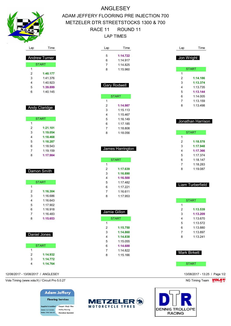

# ANGLESEY ADAM JEFFERY FLOORING PRE INJECTION 700 METZELER DTR STREETSTOCKS 1300 & 700 RACE 11 ROUND 11 LAP TIMES

| Lap                                | Time                 | Lap                     | Time                | Lap          | Time                          |
|------------------------------------|----------------------|-------------------------|---------------------|--------------|-------------------------------|
|                                    |                      | 5                       | 1:14.722            |              |                               |
|                                    | <b>Andrew Turner</b> | 6                       | 1:14.917            |              | Jon Wright                    |
| <b>START</b>                       |                      | 7                       | 1:14.825            |              |                               |
| $\mathbf{1}$                       |                      | 8                       | 1:15.960            |              | <b>START</b>                  |
| 2                                  | 1:40.177             |                         |                     | $\mathbf{1}$ |                               |
| 3                                  | 1:41.376             |                         |                     | 2            | 1:14.186                      |
| 4                                  | 1:40.923             |                         | <b>Gary Rodwell</b> | 3            | 1:13.374                      |
| 5                                  | 1:39.899             |                         |                     | 4            | 1:13.735                      |
| 6                                  | 1:40.145             |                         |                     | 5            | 1:13.144                      |
|                                    |                      |                         | <b>START</b>        | 6            | 1:14.005                      |
|                                    |                      | $\mathbf{1}$            |                     | 7            | 1:13.159                      |
| Andy Claridge                      |                      | 2                       | 1:14.987            | 8            | 1:13.498                      |
|                                    |                      | 3                       | 1:15.113            |              |                               |
|                                    |                      | 4                       | 1:15.467            |              |                               |
| <b>START</b>                       |                      | 5                       | 1:16.149            |              | Jonathan Harrison             |
| 1                                  |                      | 6                       | 1:17.185            |              |                               |
| $\overline{c}$                     | 1:21.101             | 7                       | 1:18.808            |              |                               |
| 3                                  | 1:19.054             | 8                       | 1:18.056            |              | <b>START</b>                  |
| 4                                  | 1:18.468             |                         |                     | $\mathbf{1}$ |                               |
| 5                                  | 1:18.287             |                         |                     | 2            | 1:18.578                      |
| 6                                  | 1:18.543             |                         | James Harrington    | 3            | 1:17.948                      |
| 7                                  | 1:19.159             |                         |                     | 4            | 1:17.366                      |
| 8                                  | 1:17.984             |                         |                     | 5            | 1:17.374                      |
|                                    |                      |                         | <b>START</b>        | 6            | 1:18.147                      |
|                                    |                      | $\mathbf{1}$            |                     | 7            | 1:18.283                      |
| Damon Smith                        |                      | 2                       | 1:17.639            | 8            | 1:19.087                      |
|                                    |                      | 3                       | 1:16.890            |              |                               |
|                                    |                      | 4                       | 1:16.500            |              |                               |
| <b>START</b>                       |                      | 5                       | 1:17.482            |              | Liam Turberfield              |
| 1                                  |                      | 6                       | 1:17.221            |              |                               |
| 2                                  | 1:16.304             | 7                       | 1:16.611            |              |                               |
| 3                                  | 1:16.686             | 8                       | 1:17.953            |              |                               |
| 4                                  | 1:16.643             |                         |                     |              | <b>START</b>                  |
| 5                                  | 1:17.902             |                         |                     | 1            |                               |
| 6                                  | 1:16.918             |                         | Jamie Gillon        | 2            | 1:13.539                      |
| 7                                  | 1:16.483             |                         |                     | 3            | 1:13.209                      |
| 8                                  | 1:15.653             |                         | <b>START</b>        | 4            | 1:13.670                      |
|                                    |                      | $\mathbf{1}$            |                     | 5            | 1:13.572                      |
|                                    |                      | $\overline{\mathbf{c}}$ | 1:15.750            | 6            | 1:13.880                      |
| Daniel Jones                       |                      | 3                       | 1:14.860            | 7            | 1:13.897                      |
|                                    |                      | 4                       | 1:14.838            | 8            | 1:13.241                      |
|                                    |                      | 5                       | 1:15.055            |              |                               |
| <b>START</b>                       |                      | 6                       | 1:14.688            |              |                               |
| $\mathbf{1}$                       |                      | 7                       | 1:14.822            |              | <b>Mark Birkett</b>           |
| $\overline{2}$                     | 1:14.932             | 8                       | 1:15.166            |              |                               |
| 3                                  | 1:14.772             |                         |                     |              |                               |
| 4                                  | 1:14.764             |                         |                     |              | <b>START</b>                  |
| 12/08/2017 - 13/08/2017 / ANGLESEY |                      |                         |                     |              | 13/08/2017 - 13:25 / Page 1/2 |

Vola Timing (www.vola.fr) / Circuit Pro 5.0.27 **NG Timing Team MOLA View Account Property** NG Timing Team MOLA View

**Adam Jeffery Flooring Services** iupplied & installed . Carpet . Vinyl . Tiles · Safety flooring 01271 855860 bile: 07967 560 272 · Karndean Specialist